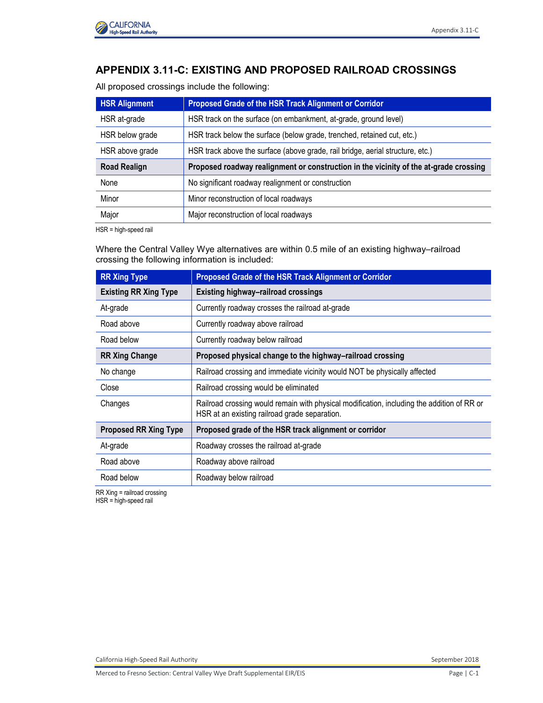

# **APPENDIX 3.11-C: EXISTING AND PROPOSED RAILROAD CROSSINGS**

All proposed crossings include the following:

| <b>HSR Alignment</b> | Proposed Grade of the HSR Track Alignment or Corridor                                 |
|----------------------|---------------------------------------------------------------------------------------|
| HSR at-grade         | HSR track on the surface (on embankment, at-grade, ground level)                      |
| HSR below grade      | HSR track below the surface (below grade, trenched, retained cut, etc.)               |
| HSR above grade      | HSR track above the surface (above grade, rail bridge, aerial structure, etc.)        |
|                      |                                                                                       |
| <b>Road Realign</b>  | Proposed roadway realignment or construction in the vicinity of the at-grade crossing |
| None                 | No significant roadway realignment or construction                                    |
| Minor                | Minor reconstruction of local roadways                                                |

HSR = high-speed rail

Where the Central Valley Wye alternatives are within 0.5 mile of an existing highway–railroad crossing the following information is included:

| <b>RR Xing Type</b>          | Proposed Grade of the HSR Track Alignment or Corridor                                                                                       |
|------------------------------|---------------------------------------------------------------------------------------------------------------------------------------------|
| <b>Existing RR Xing Type</b> | Existing highway-railroad crossings                                                                                                         |
| At-grade                     | Currently roadway crosses the railroad at-grade                                                                                             |
| Road above                   | Currently roadway above railroad                                                                                                            |
| Road below                   | Currently roadway below railroad                                                                                                            |
| <b>RR Xing Change</b>        | Proposed physical change to the highway-railroad crossing                                                                                   |
| No change                    | Railroad crossing and immediate vicinity would NOT be physically affected                                                                   |
| Close                        | Railroad crossing would be eliminated                                                                                                       |
| Changes                      | Railroad crossing would remain with physical modification, including the addition of RR or<br>HSR at an existing railroad grade separation. |
| <b>Proposed RR Xing Type</b> | Proposed grade of the HSR track alignment or corridor                                                                                       |
| At-grade                     | Roadway crosses the railroad at-grade                                                                                                       |
| Road above                   | Roadway above railroad                                                                                                                      |
| Road below                   | Roadway below railroad                                                                                                                      |
|                              |                                                                                                                                             |

RR Xing = railroad crossing

HSR = high-speed rail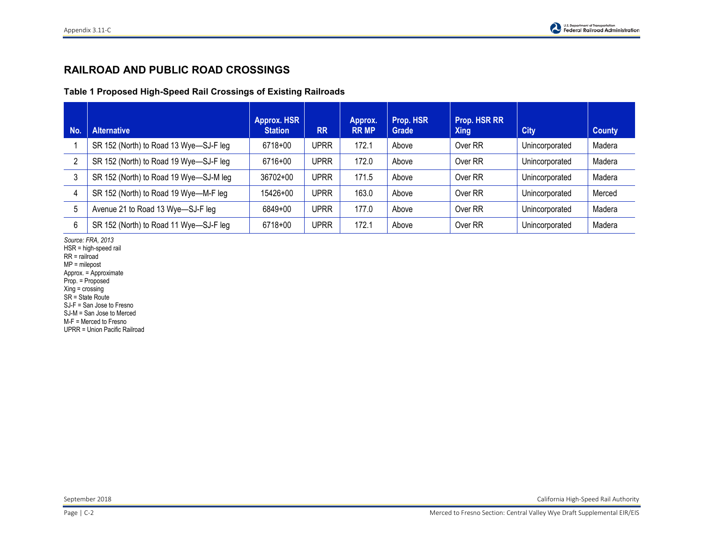## **RAILROAD AND PUBLIC ROAD CROSSINGS**

**Table 1 Proposed High-Speed Rail Crossings of Existing Railroads**

| No.            | <b>Alternative</b>                     | <b>Approx. HSR</b><br><b>Station</b> | <b>RR</b>   | Approx.<br><b>RR MP</b> | Prop. HSR<br>Grade | Prop. HSR RR<br><b>Xing</b> | <b>City</b>    | <b>County</b> |
|----------------|----------------------------------------|--------------------------------------|-------------|-------------------------|--------------------|-----------------------------|----------------|---------------|
|                | SR 152 (North) to Road 13 Wye-SJ-F leg | 6718+00                              | <b>UPRR</b> | 172.1                   | Above              | Over RR                     | Unincorporated | Madera        |
| $\overline{2}$ | SR 152 (North) to Road 19 Wye-SJ-F leg | 6716+00                              | <b>UPRR</b> | 172.0                   | Above              | Over RR                     | Unincorporated | Madera        |
| 3              | SR 152 (North) to Road 19 Wye-SJ-M leg | $36702 + 00$                         | <b>UPRR</b> | 171.5                   | Above              | Over RR                     | Unincorporated | Madera        |
| $\overline{4}$ | SR 152 (North) to Road 19 Wye-M-F leg  | 15426+00                             | <b>UPRR</b> | 163.0                   | Above              | Over RR                     | Unincorporated | Merced        |
| 5              | Avenue 21 to Road 13 Wye-SJ-F leg      | 6849+00                              | <b>UPRR</b> | 177.0                   | Above              | Over RR                     | Unincorporated | Madera        |
| 6              | SR 152 (North) to Road 11 Wye-SJ-F leg | 6718+00                              | <b>UPRR</b> | 172.1                   | Above              | Over RR                     | Unincorporated | Madera        |

*Source: FRA, 2013* 

HSR = high-speed rail

RR = railroad

MP = milepost Approx. = Approximate

Prop. = Proposed

 $Xing = crossing$ 

SR = State Route

SJ-F = San Jose to Fresno

SJ-M = San Jose to Merced

M-F = Merced to Fresno

UPRR = Union Pacific Railroad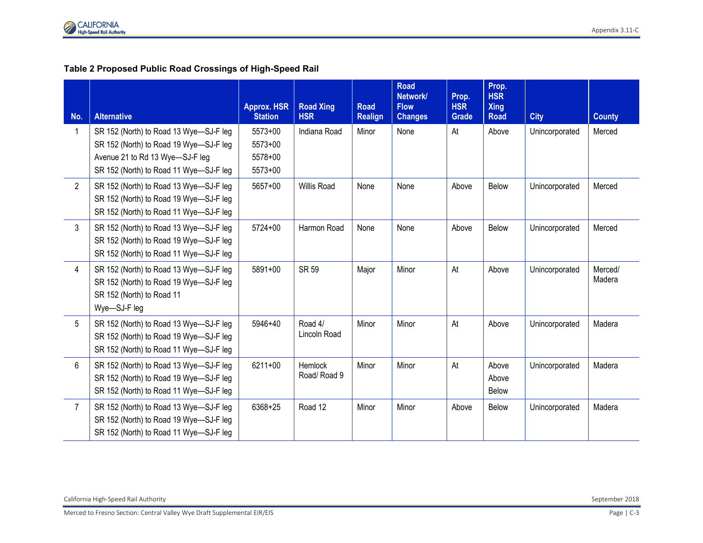### **Table 2 Proposed Public Road Crossings of High-Speed Rail**

| No.            | <b>Alternative</b>                                                                                                                                            | <b>Approx. HSR</b><br><b>Station</b>         | <b>Road Xing</b><br><b>HSR</b> | <b>Road</b><br><b>Realign</b> | <b>Road</b><br>Network/<br><b>Flow</b><br><b>Changes</b> | Prop.<br><b>HSR</b><br><b>Grade</b> | Prop.<br><b>HSR</b><br><b>Xing</b><br><b>Road</b> | <b>City</b>    | <b>County</b>     |
|----------------|---------------------------------------------------------------------------------------------------------------------------------------------------------------|----------------------------------------------|--------------------------------|-------------------------------|----------------------------------------------------------|-------------------------------------|---------------------------------------------------|----------------|-------------------|
| $\mathbf{1}$   | SR 152 (North) to Road 13 Wye-SJ-F leg<br>SR 152 (North) to Road 19 Wye-SJ-F leg<br>Avenue 21 to Rd 13 Wye-SJ-F leg<br>SR 152 (North) to Road 11 Wye-SJ-F leg | 5573+00<br>$5573+00$<br>5578+00<br>$5573+00$ | Indiana Road                   | Minor                         | None                                                     | At                                  | Above                                             | Unincorporated | Merced            |
| $\overline{2}$ | SR 152 (North) to Road 13 Wye-SJ-F leg<br>SR 152 (North) to Road 19 Wye-SJ-F leg<br>SR 152 (North) to Road 11 Wye-SJ-F leg                                    | 5657+00                                      | Willis Road                    | None                          | None                                                     | Above                               | Below                                             | Unincorporated | Merced            |
| $\mathbf{3}$   | SR 152 (North) to Road 13 Wye-SJ-F leg<br>SR 152 (North) to Road 19 Wye-SJ-F leg<br>SR 152 (North) to Road 11 Wye-SJ-F leg                                    | $5724 + 00$                                  | Harmon Road                    | None                          | None                                                     | Above                               | <b>Below</b>                                      | Unincorporated | Merced            |
| $\overline{4}$ | SR 152 (North) to Road 13 Wye-SJ-F leg<br>SR 152 (North) to Road 19 Wye-SJ-F leg<br>SR 152 (North) to Road 11<br>Wye-SJ-F leg                                 | 5891+00                                      | <b>SR 59</b>                   | Major                         | Minor                                                    | At                                  | Above                                             | Unincorporated | Merced/<br>Madera |
| 5              | SR 152 (North) to Road 13 Wye-SJ-F leg<br>SR 152 (North) to Road 19 Wye-SJ-F leg<br>SR 152 (North) to Road 11 Wye-SJ-F leg                                    | 5946+40                                      | Road 4/<br>Lincoln Road        | Minor                         | Minor                                                    | At                                  | Above                                             | Unincorporated | Madera            |
| $6\phantom{.}$ | SR 152 (North) to Road 13 Wye-SJ-F leg<br>SR 152 (North) to Road 19 Wye-SJ-F leg<br>SR 152 (North) to Road 11 Wye-SJ-F leg                                    | 6211+00                                      | Hemlock<br>Road/Road 9         | Minor                         | Minor                                                    | At                                  | Above<br>Above<br><b>Below</b>                    | Unincorporated | Madera            |
| $\overline{7}$ | SR 152 (North) to Road 13 Wye-SJ-F leg<br>SR 152 (North) to Road 19 Wye-SJ-F leg<br>SR 152 (North) to Road 11 Wye-SJ-F leg                                    | 6368+25                                      | Road 12                        | Minor                         | Minor                                                    | Above                               | Below                                             | Unincorporated | Madera            |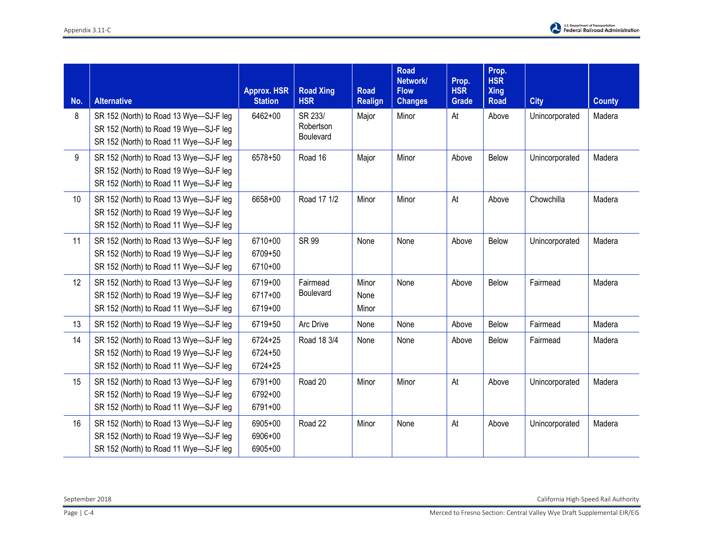

| No. | <b>Alternative</b>                                                               | <b>Approx. HSR</b><br><b>Station</b> | <b>Road Xing</b><br><b>HSR</b> | <b>Road</b><br><b>Realign</b> | <b>Road</b><br>Network/<br><b>Flow</b><br><b>Changes</b> | Prop.<br><b>HSR</b><br><b>Grade</b> | Prop.<br><b>HSR</b><br><b>Xing</b><br><b>Road</b> | <b>City</b>    | <b>County</b> |
|-----|----------------------------------------------------------------------------------|--------------------------------------|--------------------------------|-------------------------------|----------------------------------------------------------|-------------------------------------|---------------------------------------------------|----------------|---------------|
|     |                                                                                  |                                      |                                |                               |                                                          |                                     |                                                   |                |               |
| 8   | SR 152 (North) to Road 13 Wye-SJ-F leg<br>SR 152 (North) to Road 19 Wye-SJ-F leg | 6462+00                              | SR 233/<br>Robertson           | Major                         | Minor                                                    | At                                  | Above                                             | Unincorporated | Madera        |
|     | SR 152 (North) to Road 11 Wye-SJ-F leg                                           |                                      | Boulevard                      |                               |                                                          |                                     |                                                   |                |               |
|     |                                                                                  |                                      |                                |                               |                                                          |                                     |                                                   |                |               |
| 9   | SR 152 (North) to Road 13 Wye-SJ-F leg                                           | 6578+50                              | Road 16                        | Major                         | Minor                                                    | Above                               | Below                                             | Unincorporated | Madera        |
|     | SR 152 (North) to Road 19 Wye-SJ-F leg                                           |                                      |                                |                               |                                                          |                                     |                                                   |                |               |
|     | SR 152 (North) to Road 11 Wye-SJ-F leg                                           |                                      |                                |                               |                                                          |                                     |                                                   |                |               |
| 10  | SR 152 (North) to Road 13 Wye-SJ-F leg                                           | 6658+00                              | Road 17 1/2                    | Minor                         | Minor                                                    | At                                  | Above                                             | Chowchilla     | Madera        |
|     | SR 152 (North) to Road 19 Wye-SJ-F leg                                           |                                      |                                |                               |                                                          |                                     |                                                   |                |               |
|     | SR 152 (North) to Road 11 Wye-SJ-F leg                                           |                                      |                                |                               |                                                          |                                     |                                                   |                |               |
| 11  | SR 152 (North) to Road 13 Wye-SJ-F leg                                           | 6710+00                              | <b>SR 99</b>                   | None                          | None                                                     | Above                               | Below                                             | Unincorporated | Madera        |
|     | SR 152 (North) to Road 19 Wye-SJ-F leg                                           | 6709+50                              |                                |                               |                                                          |                                     |                                                   |                |               |
|     | SR 152 (North) to Road 11 Wye-SJ-F leg                                           | 6710+00                              |                                |                               |                                                          |                                     |                                                   |                |               |
| 12  | SR 152 (North) to Road 13 Wye-SJ-F leg                                           | 6719+00                              | Fairmead                       | Minor                         | None                                                     | Above                               | <b>Below</b>                                      | Fairmead       | Madera        |
|     | SR 152 (North) to Road 19 Wye-SJ-F leg                                           | 6717+00                              | Boulevard                      | None                          |                                                          |                                     |                                                   |                |               |
|     | SR 152 (North) to Road 11 Wye-SJ-F leg                                           | 6719+00                              |                                | Minor                         |                                                          |                                     |                                                   |                |               |
| 13  | SR 152 (North) to Road 19 Wye-SJ-F leg                                           | 6719+50                              | Arc Drive                      | None                          | None                                                     | Above                               | Below                                             | Fairmead       | Madera        |
| 14  | SR 152 (North) to Road 13 Wye-SJ-F leg                                           | $6724 + 25$                          | Road 18 3/4                    | None                          | None                                                     | Above                               | Below                                             | Fairmead       | Madera        |
|     | SR 152 (North) to Road 19 Wye-SJ-F leg                                           | 6724+50                              |                                |                               |                                                          |                                     |                                                   |                |               |
|     | SR 152 (North) to Road 11 Wye-SJ-F leg                                           | $6724 + 25$                          |                                |                               |                                                          |                                     |                                                   |                |               |
| 15  | SR 152 (North) to Road 13 Wye-SJ-F leg                                           | 6791+00                              | Road 20                        | Minor                         | Minor                                                    | At                                  | Above                                             | Unincorporated | Madera        |
|     | SR 152 (North) to Road 19 Wye-SJ-F leg                                           | 6792+00                              |                                |                               |                                                          |                                     |                                                   |                |               |
|     | SR 152 (North) to Road 11 Wye-SJ-F leg                                           | 6791+00                              |                                |                               |                                                          |                                     |                                                   |                |               |
| 16  | SR 152 (North) to Road 13 Wye-SJ-F leg                                           | $6905 + 00$                          | Road 22                        | Minor                         | None                                                     | At                                  | Above                                             | Unincorporated | Madera        |
|     | SR 152 (North) to Road 19 Wye-SJ-F leg                                           | 6906+00                              |                                |                               |                                                          |                                     |                                                   |                |               |
|     | SR 152 (North) to Road 11 Wye-SJ-F leg                                           | 6905+00                              |                                |                               |                                                          |                                     |                                                   |                |               |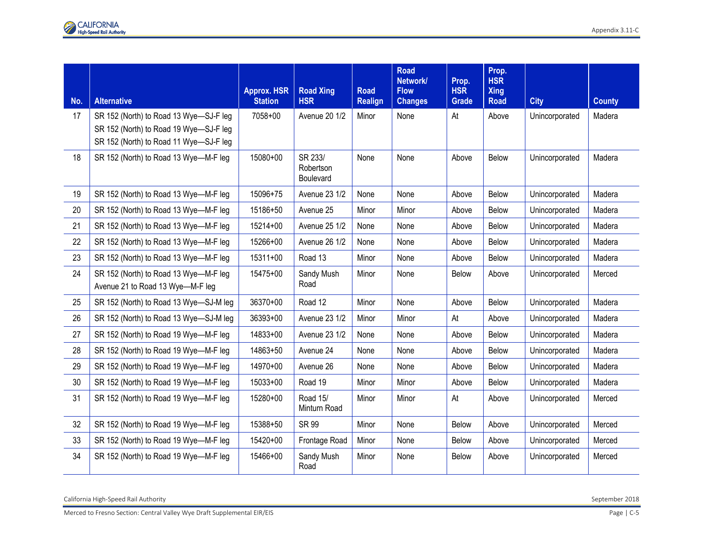Appendix 3.11-C

| No. | <b>Alternative</b>                                                               | <b>Approx. HSR</b><br><b>Station</b> | <b>Road Xing</b><br><b>HSR</b>    | <b>Road</b>    | <b>Road</b><br>Network/<br><b>Flow</b> | Prop.<br><b>HSR</b> | Prop.<br><b>HSR</b><br><b>Xing</b> |                | <b>County</b> |
|-----|----------------------------------------------------------------------------------|--------------------------------------|-----------------------------------|----------------|----------------------------------------|---------------------|------------------------------------|----------------|---------------|
|     |                                                                                  |                                      |                                   | <b>Realign</b> | <b>Changes</b>                         | Grade               | <b>Road</b>                        | <b>City</b>    |               |
| 17  | SR 152 (North) to Road 13 Wye-SJ-F leg<br>SR 152 (North) to Road 19 Wye-SJ-F leg | 7058+00                              | Avenue 20 1/2                     | Minor          | None                                   | At                  | Above                              | Unincorporated | Madera        |
|     | SR 152 (North) to Road 11 Wye-SJ-F leg                                           |                                      |                                   |                |                                        |                     |                                    |                |               |
| 18  | SR 152 (North) to Road 13 Wye-M-F leg                                            | 15080+00                             | SR 233/<br>Robertson<br>Boulevard | None           | None                                   | Above               | <b>Below</b>                       | Unincorporated | Madera        |
| 19  | SR 152 (North) to Road 13 Wye-M-F leg                                            | 15096+75                             | Avenue 23 1/2                     | None           | None                                   | Above               | <b>Below</b>                       | Unincorporated | Madera        |
| 20  | SR 152 (North) to Road 13 Wye-M-F leg                                            | 15186+50                             | Avenue 25                         | Minor          | Minor                                  | Above               | <b>Below</b>                       | Unincorporated | Madera        |
| 21  | SR 152 (North) to Road 13 Wye-M-F leg                                            | 15214+00                             | Avenue 25 1/2                     | None           | None                                   | Above               | <b>Below</b>                       | Unincorporated | Madera        |
| 22  | SR 152 (North) to Road 13 Wye-M-F leg                                            | 15266+00                             | <b>Avenue 26 1/2</b>              | None           | None                                   | Above               | Below                              | Unincorporated | Madera        |
| 23  | SR 152 (North) to Road 13 Wye-M-F leg                                            | $15311+00$                           | Road 13                           | Minor          | None                                   | Above               | Below                              | Unincorporated | Madera        |
| 24  | SR 152 (North) to Road 13 Wye-M-F leg<br>Avenue 21 to Road 13 Wye-M-F leg        | 15475+00                             | Sandy Mush<br>Road                | Minor          | None                                   | <b>Below</b>        | Above                              | Unincorporated | Merced        |
| 25  | SR 152 (North) to Road 13 Wye-SJ-M leg                                           | 36370+00                             | Road 12                           | Minor          | None                                   | Above               | Below                              | Unincorporated | Madera        |
| 26  | SR 152 (North) to Road 13 Wye-SJ-M leg                                           | 36393+00                             | Avenue 23 1/2                     | Minor          | Minor                                  | At                  | Above                              | Unincorporated | Madera        |
| 27  | SR 152 (North) to Road 19 Wye-M-F leg                                            | 14833+00                             | Avenue 23 1/2                     | None           | None                                   | Above               | Below                              | Unincorporated | Madera        |
| 28  | SR 152 (North) to Road 19 Wye-M-F leg                                            | 14863+50                             | Avenue 24                         | None           | None                                   | Above               | Below                              | Unincorporated | Madera        |
| 29  | SR 152 (North) to Road 19 Wye-M-F leg                                            | 14970+00                             | Avenue 26                         | None           | None                                   | Above               | Below                              | Unincorporated | Madera        |
| 30  | SR 152 (North) to Road 19 Wye-M-F leg                                            | 15033+00                             | Road 19                           | Minor          | Minor                                  | Above               | Below                              | Unincorporated | Madera        |
| 31  | SR 152 (North) to Road 19 Wye-M-F leg                                            | 15280+00                             | Road 15/<br>Minturn Road          | Minor          | Minor                                  | At                  | Above                              | Unincorporated | Merced        |
| 32  | SR 152 (North) to Road 19 Wye-M-F leg                                            | 15388+50                             | <b>SR 99</b>                      | Minor          | None                                   | <b>Below</b>        | Above                              | Unincorporated | Merced        |
| 33  | SR 152 (North) to Road 19 Wye-M-F leg                                            | 15420+00                             | Frontage Road                     | Minor          | None                                   | Below               | Above                              | Unincorporated | Merced        |
| 34  | SR 152 (North) to Road 19 Wye-M-F leg                                            | 15466+00                             | Sandy Mush<br>Road                | Minor          | None                                   | <b>Below</b>        | Above                              | Unincorporated | Merced        |

California High-Speed Rail Authority September 2018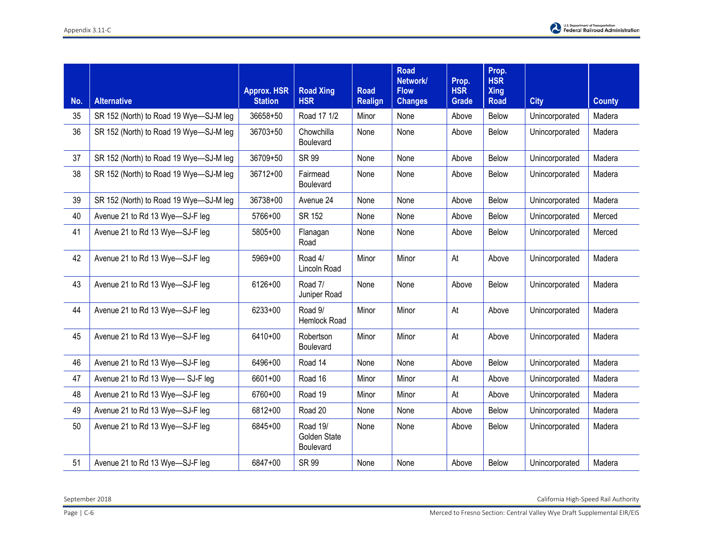

| No. | <b>Alternative</b>                     | <b>Approx. HSR</b><br><b>Station</b> | <b>Road Xing</b><br><b>HSR</b>        | <b>Road</b><br><b>Realign</b> | <b>Road</b><br>Network/<br><b>Flow</b><br><b>Changes</b> | Prop.<br><b>HSR</b><br><b>Grade</b> | Prop.<br><b>HSR</b><br><b>Xing</b><br><b>Road</b> | <b>City</b>    | <b>County</b> |
|-----|----------------------------------------|--------------------------------------|---------------------------------------|-------------------------------|----------------------------------------------------------|-------------------------------------|---------------------------------------------------|----------------|---------------|
| 35  | SR 152 (North) to Road 19 Wye-SJ-M leg | 36658+50                             | Road 17 1/2                           | Minor                         | None                                                     | Above                               | Below                                             | Unincorporated | Madera        |
| 36  | SR 152 (North) to Road 19 Wye-SJ-M leg | 36703+50                             | Chowchilla<br><b>Boulevard</b>        | None                          | None                                                     | Above                               | <b>Below</b>                                      | Unincorporated | Madera        |
| 37  | SR 152 (North) to Road 19 Wye-SJ-M leg | 36709+50                             | <b>SR 99</b>                          | None                          | None                                                     | Above                               | <b>Below</b>                                      | Unincorporated | Madera        |
| 38  | SR 152 (North) to Road 19 Wye-SJ-M leg | 36712+00                             | Fairmead<br>Boulevard                 | None                          | None                                                     | Above                               | Below                                             | Unincorporated | Madera        |
| 39  | SR 152 (North) to Road 19 Wye-SJ-M leg | 36738+00                             | Avenue 24                             | None                          | None                                                     | Above                               | Below                                             | Unincorporated | Madera        |
| 40  | Avenue 21 to Rd 13 Wye-SJ-F leg        | 5766+00                              | SR 152                                | None                          | None                                                     | Above                               | Below                                             | Unincorporated | Merced        |
| 41  | Avenue 21 to Rd 13 Wye-SJ-F leg        | 5805+00                              | Flanagan<br>Road                      | None                          | None                                                     | Above                               | Below                                             | Unincorporated | Merced        |
| 42  | Avenue 21 to Rd 13 Wye-SJ-F leg        | 5969+00                              | Road 4/<br>Lincoln Road               | Minor                         | Minor                                                    | At                                  | Above                                             | Unincorporated | Madera        |
| 43  | Avenue 21 to Rd 13 Wye-SJ-F leg        | 6126+00                              | Road 7/<br>Juniper Road               | None                          | None                                                     | Above                               | Below                                             | Unincorporated | Madera        |
| 44  | Avenue 21 to Rd 13 Wye-SJ-F leg        | 6233+00                              | Road 9/<br>Hemlock Road               | Minor                         | Minor                                                    | At                                  | Above                                             | Unincorporated | Madera        |
| 45  | Avenue 21 to Rd 13 Wye-SJ-F leg        | 6410+00                              | Robertson<br>Boulevard                | Minor                         | Minor                                                    | At                                  | Above                                             | Unincorporated | Madera        |
| 46  | Avenue 21 to Rd 13 Wye-SJ-F leg        | 6496+00                              | Road 14                               | None                          | None                                                     | Above                               | <b>Below</b>                                      | Unincorporated | Madera        |
| 47  | Avenue 21 to Rd 13 Wye--- SJ-F leg     | 6601+00                              | Road 16                               | Minor                         | Minor                                                    | At                                  | Above                                             | Unincorporated | Madera        |
| 48  | Avenue 21 to Rd 13 Wye-SJ-F leg        | 6760+00                              | Road 19                               | Minor                         | Minor                                                    | At                                  | Above                                             | Unincorporated | Madera        |
| 49  | Avenue 21 to Rd 13 Wye-SJ-F leg        | 6812+00                              | Road 20                               | None                          | None                                                     | Above                               | Below                                             | Unincorporated | Madera        |
| 50  | Avenue 21 to Rd 13 Wye-SJ-F leg        | 6845+00                              | Road 19/<br>Golden State<br>Boulevard | None                          | None                                                     | Above                               | <b>Below</b>                                      | Unincorporated | Madera        |
| 51  | Avenue 21 to Rd 13 Wye-SJ-F leg        | 6847+00                              | <b>SR 99</b>                          | None                          | None                                                     | Above                               | Below                                             | Unincorporated | Madera        |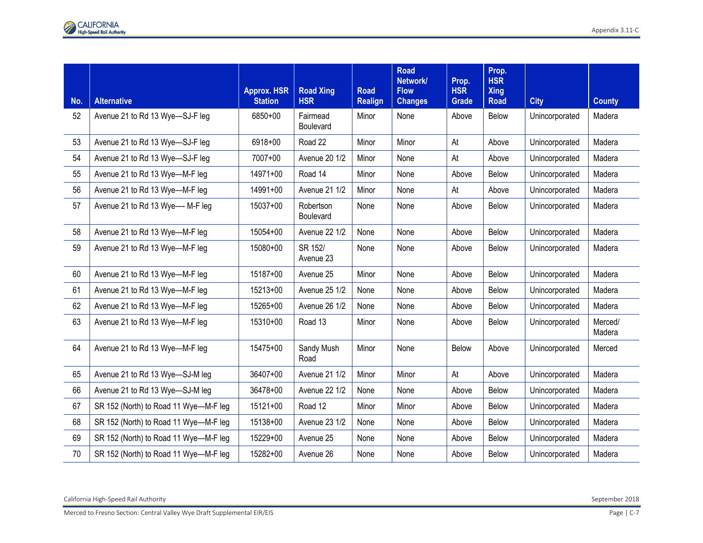|     |                                       | <b>Approx. HSR</b> | <b>Road Xing</b>       | <b>Road</b>    | <b>Road</b><br>Network/<br><b>Flow</b> | Prop.<br><b>HSR</b> | Prop.<br><b>HSR</b><br><b>Xing</b> |                |                   |
|-----|---------------------------------------|--------------------|------------------------|----------------|----------------------------------------|---------------------|------------------------------------|----------------|-------------------|
| No. | <b>Alternative</b>                    | <b>Station</b>     | <b>HSR</b>             | <b>Realign</b> | <b>Changes</b>                         | Grade               | <b>Road</b>                        | <b>City</b>    | <b>County</b>     |
| 52  | Avenue 21 to Rd 13 Wye-SJ-F leg       | 6850+00            | Fairmead<br>Boulevard  | Minor          | None                                   | Above               | Below                              | Unincorporated | Madera            |
| 53  | Avenue 21 to Rd 13 Wye-SJ-F leg       | 6918+00            | Road 22                | Minor          | Minor                                  | At                  | Above                              | Unincorporated | Madera            |
| 54  | Avenue 21 to Rd 13 Wye-SJ-F leg       | 7007+00            | <b>Avenue 20 1/2</b>   | Minor          | None                                   | At                  | Above                              | Unincorporated | Madera            |
| 55  | Avenue 21 to Rd 13 Wye-M-F leg        | 14971+00           | Road 14                | Minor          | None                                   | Above               | Below                              | Unincorporated | Madera            |
| 56  | Avenue 21 to Rd 13 Wye-M-F leg        | 14991+00           | <b>Avenue 21 1/2</b>   | Minor          | None                                   | At                  | Above                              | Unincorporated | Madera            |
| 57  | Avenue 21 to Rd 13 Wye--- M-F leg     | 15037+00           | Robertson<br>Boulevard | None           | None                                   | Above               | Below                              | Unincorporated | Madera            |
| 58  | Avenue 21 to Rd 13 Wye-M-F leg        | 15054+00           | <b>Avenue 22 1/2</b>   | None           | None                                   | Above               | Below                              | Unincorporated | Madera            |
| 59  | Avenue 21 to Rd 13 Wye-M-F leg        | 15080+00           | SR 152/<br>Avenue 23   | None           | None                                   | Above               | Below                              | Unincorporated | Madera            |
| 60  | Avenue 21 to Rd 13 Wye-M-F leg        | 15187+00           | Avenue 25              | Minor          | None                                   | Above               | Below                              | Unincorporated | Madera            |
| 61  | Avenue 21 to Rd 13 Wye-M-F leg        | 15213+00           | Avenue 25 1/2          | None           | None                                   | Above               | Below                              | Unincorporated | Madera            |
| 62  | Avenue 21 to Rd 13 Wye-M-F leg        | 15265+00           | <b>Avenue 26 1/2</b>   | None           | None                                   | Above               | Below                              | Unincorporated | Madera            |
| 63  | Avenue 21 to Rd 13 Wye-M-F leg        | 15310+00           | Road 13                | Minor          | None                                   | Above               | Below                              | Unincorporated | Merced/<br>Madera |
| 64  | Avenue 21 to Rd 13 Wye-M-F leg        | 15475+00           | Sandy Mush<br>Road     | Minor          | None                                   | Below               | Above                              | Unincorporated | Merced            |
| 65  | Avenue 21 to Rd 13 Wye-SJ-M leg       | 36407+00           | <b>Avenue 21 1/2</b>   | Minor          | Minor                                  | At                  | Above                              | Unincorporated | Madera            |
| 66  | Avenue 21 to Rd 13 Wye-SJ-M leg       | 36478+00           | <b>Avenue 22 1/2</b>   | None           | None                                   | Above               | Below                              | Unincorporated | Madera            |
| 67  | SR 152 (North) to Road 11 Wye-M-F leg | $15121+00$         | Road 12                | Minor          | Minor                                  | Above               | Below                              | Unincorporated | Madera            |
| 68  | SR 152 (North) to Road 11 Wye-M-F leg | 15138+00           | Avenue 23 1/2          | None           | None                                   | Above               | Below                              | Unincorporated | Madera            |
| 69  | SR 152 (North) to Road 11 Wye-M-F leg | 15229+00           | Avenue 25              | None           | None                                   | Above               | Below                              | Unincorporated | Madera            |
| 70  | SR 152 (North) to Road 11 Wye-M-F leg | 15282+00           | Avenue 26              | None           | None                                   | Above               | <b>Below</b>                       | Unincorporated | Madera            |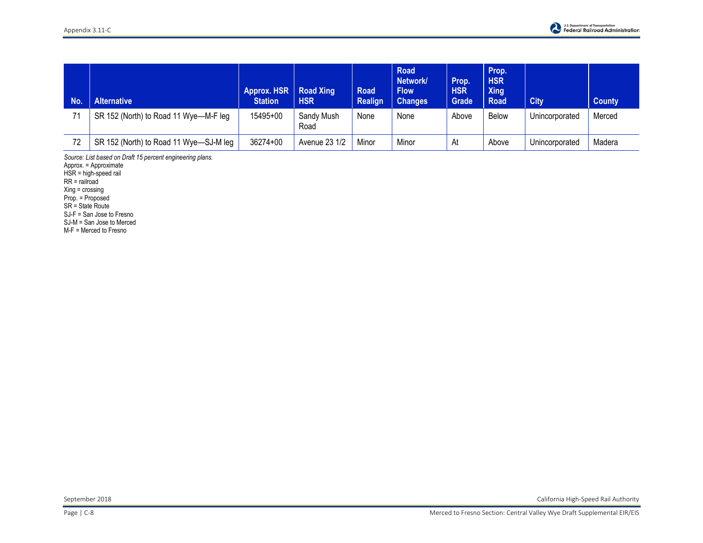| <b>No</b> | <b>Alternative</b>                     | Approx. HSR   Road Xing<br><b>Station</b> | <b>HSR</b>         | <b>Road</b><br><b>Realign</b> | <b>Road</b><br>Network/<br><b>Flow</b><br><b>Changes</b> | Prop.<br><b>HSR</b><br>Grade | Prop.<br><b>HSR</b><br><b>Xing</b><br><b>Road</b> | <b>City</b>    | <b>County</b> |
|-----------|----------------------------------------|-------------------------------------------|--------------------|-------------------------------|----------------------------------------------------------|------------------------------|---------------------------------------------------|----------------|---------------|
| 71        | SR 152 (North) to Road 11 Wye-M-F leg  | 15495+00                                  | Sandy Mush<br>Road | None                          | None                                                     | Above                        | <b>Below</b>                                      | Unincorporated | Merced        |
| 72        | SR 152 (North) to Road 11 Wye-SJ-M leg | 36274+00                                  | Avenue 23 1/2      | Minor                         | Minor                                                    | At                           | Above                                             | Unincorporated | Madera        |

*Source: List based on Draft 15 percent engineering plans.* 

Approx. = Approximate

HSR = high-speed rail

RR = railroad

Xing = crossing

Prop. = Proposed

SR = State Route

SJ-F = San Jose to Fresno

SJ-M = San Jose to Merced

M-F = Merced to Fresno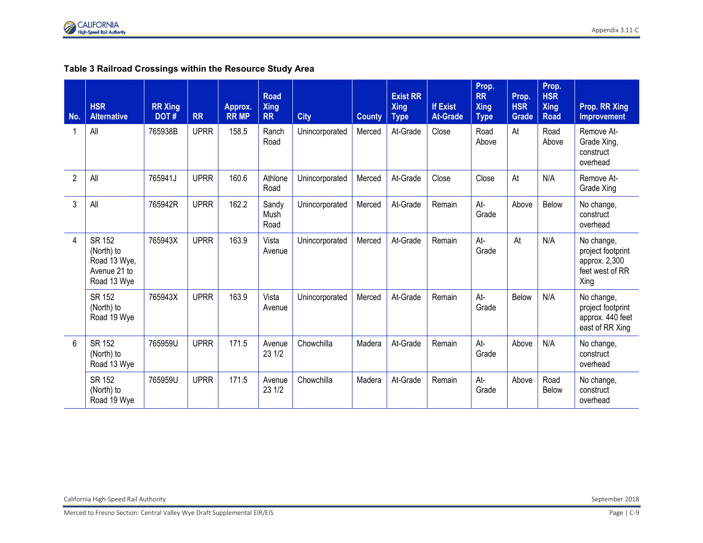

#### **Table 3 Railroad Crossings within the Resource Study Area**

| No.            | <b>HSR</b><br><b>Alternative</b>                                    | <b>RR Xing</b><br>DOT# | <b>RR</b>   | Approx.<br><b>RR MP</b> | <b>Road</b><br><b>Xing</b><br><b>RR</b> | <b>City</b>    | <b>County</b> | <b>Exist RR</b><br><b>Xing</b><br><b>Type</b> | <b>If Exist</b><br><b>At-Grade</b> | Prop.<br><b>RR</b><br><b>Xing</b><br><b>Type</b> | Prop.<br><b>HSR</b><br><b>Grade</b> | Prop.<br><b>HSR</b><br><b>Xing</b><br><b>Road</b> | Prop. RR Xing<br><b>Improvement</b>                                         |
|----------------|---------------------------------------------------------------------|------------------------|-------------|-------------------------|-----------------------------------------|----------------|---------------|-----------------------------------------------|------------------------------------|--------------------------------------------------|-------------------------------------|---------------------------------------------------|-----------------------------------------------------------------------------|
|                | All                                                                 | 765938B                | <b>UPRR</b> | 158.5                   | Ranch<br>Road                           | Unincorporated | Merced        | At-Grade                                      | Close                              | Road<br>Above                                    | At                                  | Road<br>Above                                     | Remove At-<br>Grade Xing,<br>construct<br>overhead                          |
| $\overline{2}$ | All                                                                 | 765941J                | <b>UPRR</b> | 160.6                   | Athlone<br>Road                         | Unincorporated | Merced        | At-Grade                                      | Close                              | Close                                            | At                                  | N/A                                               | Remove At-<br>Grade Xing                                                    |
| 3              | All                                                                 | 765942R                | <b>UPRR</b> | 162.2                   | Sandy<br>Mush<br>Road                   | Unincorporated | Merced        | At-Grade                                      | Remain                             | At-<br>Grade                                     | Above                               | Below                                             | No change,<br>construct<br>overhead                                         |
| 4              | SR 152<br>(North) to<br>Road 13 Wye,<br>Avenue 21 to<br>Road 13 Wye | 765943X                | <b>UPRR</b> | 163.9                   | Vista<br>Avenue                         | Unincorporated | Merced        | At-Grade                                      | Remain                             | At-<br>Grade                                     | At                                  | N/A                                               | No change,<br>project footprint<br>approx. 2,300<br>feet west of RR<br>Xing |
|                | SR 152<br>(North) to<br>Road 19 Wye                                 | 765943X                | <b>UPRR</b> | 163.9                   | Vista<br>Avenue                         | Unincorporated | Merced        | At-Grade                                      | Remain                             | At-<br>Grade                                     | Below                               | N/A                                               | No change,<br>project footprint<br>approx. 440 feet<br>east of RR Xing      |
| 6              | SR 152<br>(North) to<br>Road 13 Wye                                 | 765959U                | <b>UPRR</b> | 171.5                   | Avenue<br>23 1/2                        | Chowchilla     | Madera        | At-Grade                                      | Remain                             | At-<br>Grade                                     | Above                               | N/A                                               | No change,<br>construct<br>overhead                                         |
|                | <b>SR 152</b><br>(North) to<br>Road 19 Wye                          | 765959U                | <b>UPRR</b> | 171.5                   | Avenue<br>23 1/2                        | Chowchilla     | Madera        | At-Grade                                      | Remain                             | At-<br>Grade                                     | Above                               | Road<br><b>Below</b>                              | No change,<br>construct<br>overhead                                         |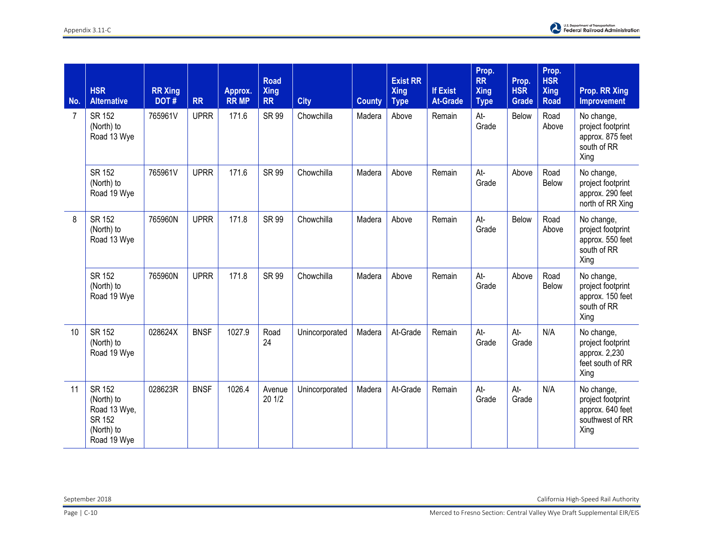| No. | <b>HSR</b><br><b>Alternative</b>                                                   | <b>RR Xing</b><br>DOT# | <b>RR</b>   | Approx.<br><b>RR MP</b> | <b>Road</b><br><b>Xing</b><br><b>RR</b> | <b>City</b>    | <b>County</b> | <b>Exist RR</b><br><b>Xing</b><br><b>Type</b> | <b>If Exist</b><br><b>At-Grade</b> | Prop.<br><b>RR</b><br><b>Xing</b><br><b>Type</b> | Prop.<br><b>HSR</b><br>Grade | Prop.<br><b>HSR</b><br><b>Xing</b><br><b>Road</b> | <b>Prop. RR Xing</b><br><b>Improvement</b>                                     |
|-----|------------------------------------------------------------------------------------|------------------------|-------------|-------------------------|-----------------------------------------|----------------|---------------|-----------------------------------------------|------------------------------------|--------------------------------------------------|------------------------------|---------------------------------------------------|--------------------------------------------------------------------------------|
| 7   | SR 152<br>(North) to<br>Road 13 Wye                                                | 765961V                | <b>UPRR</b> | 171.6                   | <b>SR 99</b>                            | Chowchilla     | Madera        | Above                                         | Remain                             | At-<br>Grade                                     | Below                        | Road<br>Above                                     | No change,<br>project footprint<br>approx. 875 feet<br>south of RR<br>Xing     |
|     | SR 152<br>(North) to<br>Road 19 Wye                                                | 765961V                | <b>UPRR</b> | 171.6                   | <b>SR 99</b>                            | Chowchilla     | Madera        | Above                                         | Remain                             | At-<br>Grade                                     | Above                        | Road<br>Below                                     | No change,<br>project footprint<br>approx. 290 feet<br>north of RR Xing        |
| 8   | <b>SR 152</b><br>(North) to<br>Road 13 Wye                                         | 765960N                | <b>UPRR</b> | 171.8                   | <b>SR 99</b>                            | Chowchilla     | Madera        | Above                                         | Remain                             | At-<br>Grade                                     | Below                        | Road<br>Above                                     | No change,<br>project footprint<br>approx. 550 feet<br>south of RR<br>Xing     |
|     | SR 152<br>(North) to<br>Road 19 Wye                                                | 765960N                | <b>UPRR</b> | 171.8                   | <b>SR 99</b>                            | Chowchilla     | Madera        | Above                                         | Remain                             | At-<br>Grade                                     | Above                        | Road<br>Below                                     | No change,<br>project footprint<br>approx. 150 feet<br>south of RR<br>Xing     |
| 10  | SR 152<br>(North) to<br>Road 19 Wye                                                | 028624X                | <b>BNSF</b> | 1027.9                  | Road<br>24                              | Unincorporated | Madera        | At-Grade                                      | Remain                             | At-<br>Grade                                     | At-<br>Grade                 | N/A                                               | No change,<br>project footprint<br>approx. 2,230<br>feet south of RR<br>Xing   |
| 11  | <b>SR 152</b><br>(North) to<br>Road 13 Wye,<br>SR 152<br>(North) to<br>Road 19 Wye | 028623R                | <b>BNSF</b> | 1026.4                  | Avenue<br>20 1/2                        | Unincorporated | Madera        | At-Grade                                      | Remain                             | At-<br>Grade                                     | At-<br>Grade                 | N/A                                               | No change,<br>project footprint<br>approx. 640 feet<br>southwest of RR<br>Xing |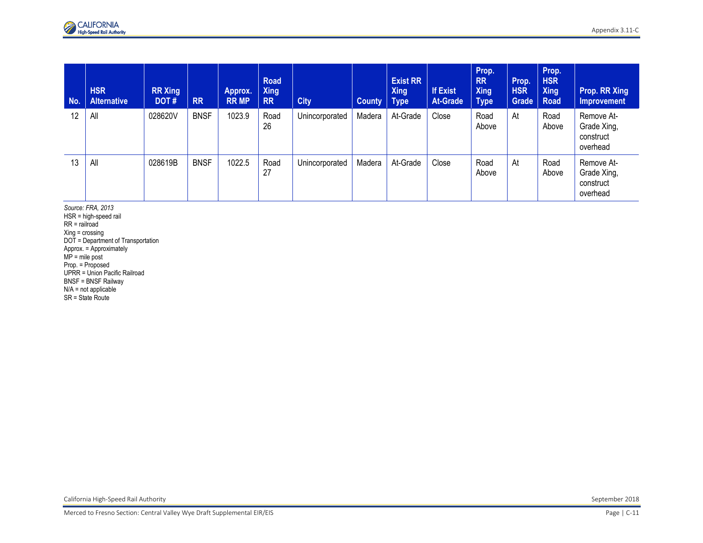| No. | <b>HSR</b><br><b>Alternative</b> | <b>RR Xing</b><br>DOT# | <b>RR</b>   | Approx.<br><b>RR MP</b> | <b>Road</b><br><b>Xing</b><br><b>RR</b> | <b>City</b>    | <b>County</b> | <b>Exist RR</b><br><b>Xing</b><br><b>Type</b> | <b>If Exist</b><br><b>At-Grade</b> | Prop.<br><b>RR</b><br><b>Xing</b><br><b>Type</b> | Prop.<br><b>HSR</b><br>Grade | Prop.<br><b>HSR</b><br><b>Xing</b><br><b>Road</b> | Prop. RR Xing<br>Improvement                       |
|-----|----------------------------------|------------------------|-------------|-------------------------|-----------------------------------------|----------------|---------------|-----------------------------------------------|------------------------------------|--------------------------------------------------|------------------------------|---------------------------------------------------|----------------------------------------------------|
| 12  | All                              | 028620V                | <b>BNSF</b> | 1023.9                  | Road<br>26                              | Unincorporated | Madera        | At-Grade                                      | Close                              | Road<br>Above                                    | At                           | Road<br>Above                                     | Remove At-<br>Grade Xing,<br>construct<br>overhead |
| 13  | All                              | 028619B                | <b>BNSF</b> | 1022.5                  | Road<br>27                              | Unincorporated | Madera        | At-Grade                                      | Close                              | Road<br>Above                                    | At                           | Road<br>Above                                     | Remove At-<br>Grade Xing,<br>construct<br>overhead |

*Source: FRA, 2013*  HSR = high-speed rail RR = railroad Xing = crossing DOT = Department of Transportation Approx. = Approximately MP = mile post Prop. = Proposed UPRR = Union Pacific Railroad BNSF = BNSF Railway N/A = not applicable SR = State Route

California High-Speed Rail Authority September 2018